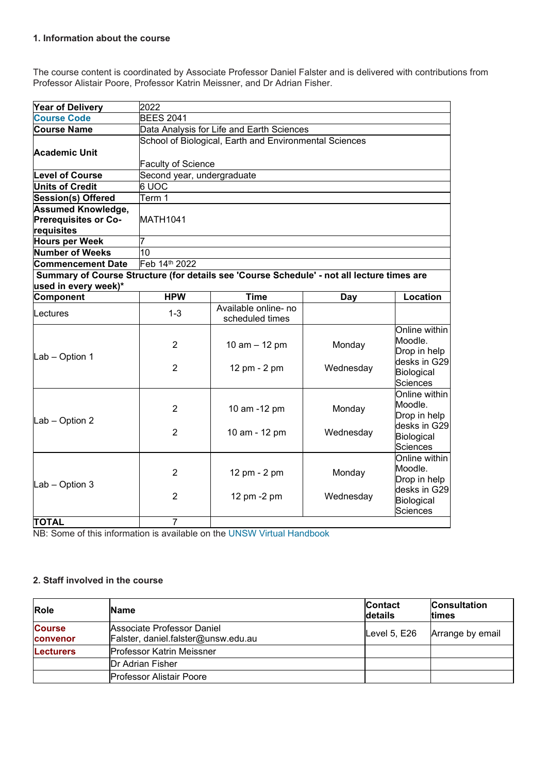#### **1. Information about the course**

The course content is coordinated by Associate Professor Daniel Falster and is delivered with contributions from Professor Alistair Poore, Professor Katrin Meissner, and Dr Adrian Fisher.

| <b>Year of Delivery</b>                                                                    | 2022                       |                                                        |           |                                               |
|--------------------------------------------------------------------------------------------|----------------------------|--------------------------------------------------------|-----------|-----------------------------------------------|
| <b>Course Code</b>                                                                         | <b>BEES 2041</b>           |                                                        |           |                                               |
| <b>Course Name</b>                                                                         |                            | Data Analysis for Life and Earth Sciences              |           |                                               |
|                                                                                            |                            | School of Biological, Earth and Environmental Sciences |           |                                               |
| <b>Academic Unit</b>                                                                       |                            |                                                        |           |                                               |
|                                                                                            | <b>Faculty of Science</b>  |                                                        |           |                                               |
| <b>Level of Course</b>                                                                     | Second year, undergraduate |                                                        |           |                                               |
| <b>Units of Credit</b>                                                                     | 6 UOC                      |                                                        |           |                                               |
| <b>Session(s) Offered</b>                                                                  | Term 1                     |                                                        |           |                                               |
| <b>Assumed Knowledge,</b>                                                                  |                            |                                                        |           |                                               |
| <b>Prerequisites or Co-</b>                                                                | <b>MATH1041</b>            |                                                        |           |                                               |
| requisites                                                                                 |                            |                                                        |           |                                               |
| <b>Hours per Week</b>                                                                      |                            |                                                        |           |                                               |
| <b>Number of Weeks</b>                                                                     | 10                         |                                                        |           |                                               |
| <b>Commencement Date</b>                                                                   | Feb 14th 2022              |                                                        |           |                                               |
| Summary of Course Structure (for details see 'Course Schedule' - not all lecture times are |                            |                                                        |           |                                               |
| used in every week)*                                                                       |                            |                                                        |           |                                               |
| <b>Component</b>                                                                           | <b>HPW</b>                 | <b>Time</b>                                            | Day       | Location                                      |
| Lectures                                                                                   | $1 - 3$                    | Available online- no<br>scheduled times                |           |                                               |
| Lab - Option 1                                                                             | $\overline{2}$             | 10 $am - 12 pm$                                        | Monday    | Online within<br>Moodle.<br>Drop in help      |
|                                                                                            | $\overline{2}$             | 12 pm - 2 pm                                           | Wednesday | desks in G29<br>Biological<br><b>Sciences</b> |
| Lab - Option 2                                                                             | $\overline{2}$             | 10 am -12 pm                                           | Monday    | Online within<br>Moodle.<br>Drop in help      |
|                                                                                            | $\overline{2}$             | 10 am - 12 pm                                          | Wednesday | desks in G29<br>Biological<br>Sciences        |
| Lab - Option 3                                                                             | $\overline{2}$             | 12 pm - 2 pm                                           | Monday    | Online within<br>Moodle.<br>Drop in help      |
|                                                                                            | $\overline{2}$             | 12 pm -2 pm                                            | Wednesday | desks in G29<br>Biological<br><b>Sciences</b> |
| <b>TOTAL</b>                                                                               | $\overline{7}$             |                                                        |           |                                               |

NB: Some of this information is available on the [UNSW Virtual Handbook](https://www.handbook.unsw.edu.au/undergraduate/courses/2021/BEES2041/?year=2021)

## **2. Staff involved in the course**

| Role                      | <b>Name</b>                                                       | <b>Contact</b><br>details | <b>Consultation</b><br><b>Itimes</b> |
|---------------------------|-------------------------------------------------------------------|---------------------------|--------------------------------------|
| <b>Course</b><br>convenor | Associate Professor Daniel<br>FAister, daniel.falster@unsw.edu.au | Level $5, E26$            | Arrange by email                     |
| <b>Lecturers</b>          | <b>Professor Katrin Meissner</b>                                  |                           |                                      |
|                           | <b>IDr Adrian Fisher</b>                                          |                           |                                      |
|                           | <b>Professor Alistair Poore</b>                                   |                           |                                      |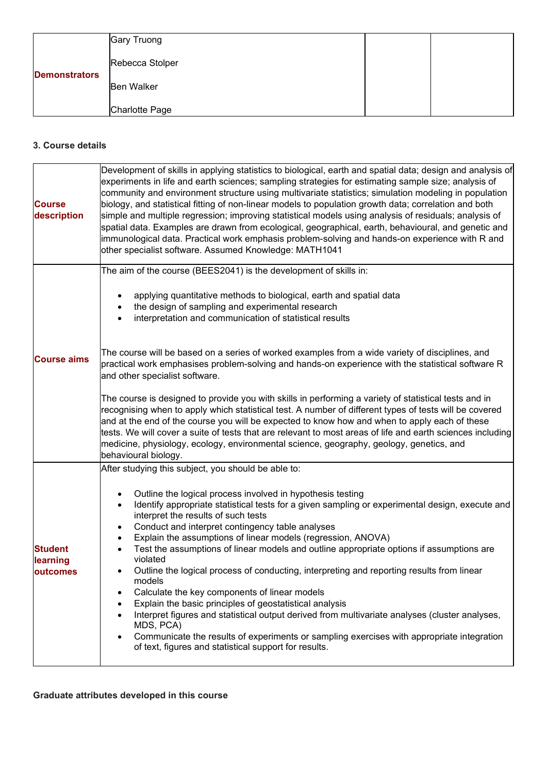|                      | Gary Truong       |  |
|----------------------|-------------------|--|
| <b>Demonstrators</b> | Rebecca Stolper   |  |
|                      | <b>Ben Walker</b> |  |
|                      | Charlotte Page    |  |

## **3. Course details**

| <b>Course</b><br>description           | Development of skills in applying statistics to biological, earth and spatial data; design and analysis of<br>experiments in life and earth sciences; sampling strategies for estimating sample size; analysis of<br>community and environment structure using multivariate statistics; simulation modeling in population<br>biology, and statistical fitting of non-linear models to population growth data; correlation and both<br>simple and multiple regression; improving statistical models using analysis of residuals; analysis of<br>spatial data. Examples are drawn from ecological, geographical, earth, behavioural, and genetic and<br>immunological data. Practical work emphasis problem-solving and hands-on experience with R and<br>other specialist software. Assumed Knowledge: MATH1041                                                                                                                                                  |
|----------------------------------------|-----------------------------------------------------------------------------------------------------------------------------------------------------------------------------------------------------------------------------------------------------------------------------------------------------------------------------------------------------------------------------------------------------------------------------------------------------------------------------------------------------------------------------------------------------------------------------------------------------------------------------------------------------------------------------------------------------------------------------------------------------------------------------------------------------------------------------------------------------------------------------------------------------------------------------------------------------------------|
|                                        | The aim of the course (BEES2041) is the development of skills in:                                                                                                                                                                                                                                                                                                                                                                                                                                                                                                                                                                                                                                                                                                                                                                                                                                                                                               |
|                                        | applying quantitative methods to biological, earth and spatial data<br>the design of sampling and experimental research<br>interpretation and communication of statistical results                                                                                                                                                                                                                                                                                                                                                                                                                                                                                                                                                                                                                                                                                                                                                                              |
| <b>Course aims</b>                     | The course will be based on a series of worked examples from a wide variety of disciplines, and<br>practical work emphasises problem-solving and hands-on experience with the statistical software R<br>and other specialist software.                                                                                                                                                                                                                                                                                                                                                                                                                                                                                                                                                                                                                                                                                                                          |
|                                        | The course is designed to provide you with skills in performing a variety of statistical tests and in<br>recognising when to apply which statistical test. A number of different types of tests will be covered<br>and at the end of the course you will be expected to know how and when to apply each of these<br>tests. We will cover a suite of tests that are relevant to most areas of life and earth sciences including<br>medicine, physiology, ecology, environmental science, geography, geology, genetics, and<br>behavioural biology.                                                                                                                                                                                                                                                                                                                                                                                                               |
|                                        | After studying this subject, you should be able to:                                                                                                                                                                                                                                                                                                                                                                                                                                                                                                                                                                                                                                                                                                                                                                                                                                                                                                             |
| <b>Student</b><br>learning<br>outcomes | Outline the logical process involved in hypothesis testing<br>$\bullet$<br>Identify appropriate statistical tests for a given sampling or experimental design, execute and<br>$\bullet$<br>interpret the results of such tests<br>Conduct and interpret contingency table analyses<br>$\bullet$<br>Explain the assumptions of linear models (regression, ANOVA)<br>Test the assumptions of linear models and outline appropriate options if assumptions are<br>violated<br>Outline the logical process of conducting, interpreting and reporting results from linear<br>models<br>Calculate the key components of linear models<br>Explain the basic principles of geostatistical analysis<br>Interpret figures and statistical output derived from multivariate analyses (cluster analyses,<br>MDS, PCA)<br>Communicate the results of experiments or sampling exercises with appropriate integration<br>of text, figures and statistical support for results. |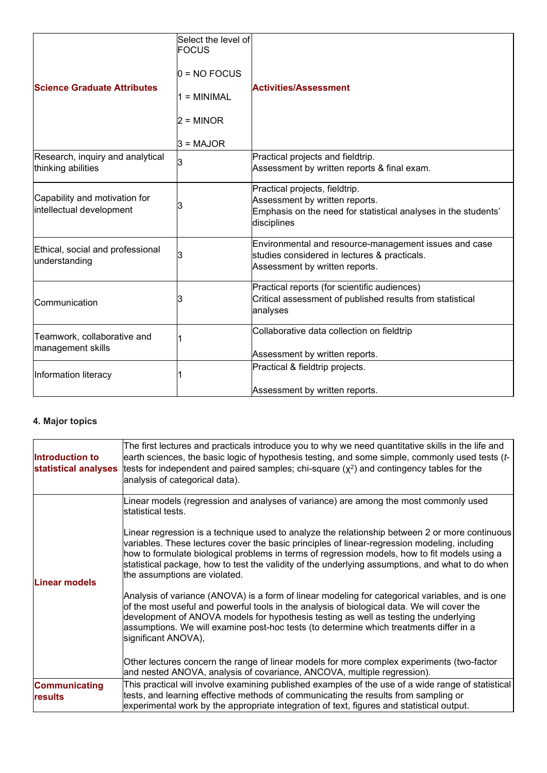| <b>Science Graduate Attributes</b>                        | Select the level of<br><b>FOCUS</b><br>$0 = NO$ FOCUS<br>$1 = MINIMAL$<br>2 = MINOR<br>$3 = MAJOR$ | <b>Activities/Assessment</b>                                                                                                                      |
|-----------------------------------------------------------|----------------------------------------------------------------------------------------------------|---------------------------------------------------------------------------------------------------------------------------------------------------|
| Research, inquiry and analytical<br>thinking abilities    | З                                                                                                  | Practical projects and fieldtrip.<br>Assessment by written reports & final exam.                                                                  |
| Capability and motivation for<br>intellectual development | 3                                                                                                  | Practical projects, fieldtrip.<br>Assessment by written reports.<br>Emphasis on the need for statistical analyses in the students'<br>disciplines |
| Ethical, social and professional<br>understanding         | 3                                                                                                  | Environmental and resource-management issues and case<br>studies considered in lectures & practicals.<br>Assessment by written reports.           |
| Communication                                             | 3                                                                                                  | Practical reports (for scientific audiences)<br>Critical assessment of published results from statistical<br>analyses                             |
| Teamwork, collaborative and<br>management skills          |                                                                                                    | Collaborative data collection on fieldtrip<br>Assessment by written reports.                                                                      |
| Information literacy                                      |                                                                                                    | Practical & fieldtrip projects.<br>Assessment by written reports.                                                                                 |

# **4. Major topics**

| Introduction to<br>statistical analyses | The first lectures and practicals introduce you to why we need quantitative skills in the life and<br>earth sciences, the basic logic of hypothesis testing, and some simple, commonly used tests (t-<br>tests for independent and paired samples; chi-square $(x^2)$ and contingency tables for the<br>analysis of categorical data).                                                                                                                                                                                                                                                                                                                                                                                                                                                                                                                                                                                                                          |
|-----------------------------------------|-----------------------------------------------------------------------------------------------------------------------------------------------------------------------------------------------------------------------------------------------------------------------------------------------------------------------------------------------------------------------------------------------------------------------------------------------------------------------------------------------------------------------------------------------------------------------------------------------------------------------------------------------------------------------------------------------------------------------------------------------------------------------------------------------------------------------------------------------------------------------------------------------------------------------------------------------------------------|
| <b>Linear models</b>                    | Linear models (regression and analyses of variance) are among the most commonly used<br>lstatistical tests.<br>Linear regression is a technique used to analyze the relationship between 2 or more continuous<br>variables. These lectures cover the basic principles of linear-regression modeling, including<br>how to formulate biological problems in terms of regression models, how to fit models using a<br>statistical package, how to test the validity of the underlying assumptions, and what to do when<br>the assumptions are violated.<br>Analysis of variance (ANOVA) is a form of linear modeling for categorical variables, and is one<br>of the most useful and powerful tools in the analysis of biological data. We will cover the<br>development of ANOVA models for hypothesis testing as well as testing the underlying<br>assumptions. We will examine post-hoc tests (to determine which treatments differ in a<br>significant ANOVA), |
|                                         | Other lectures concern the range of linear models for more complex experiments (two-factor<br>and nested ANOVA, analysis of covariance, ANCOVA, multiple regression).                                                                                                                                                                                                                                                                                                                                                                                                                                                                                                                                                                                                                                                                                                                                                                                           |
| <b>Communicating</b><br>results         | This practical will involve examining published examples of the use of a wide range of statistical<br>tests, and learning effective methods of communicating the results from sampling or<br>experimental work by the appropriate integration of text, figures and statistical output.                                                                                                                                                                                                                                                                                                                                                                                                                                                                                                                                                                                                                                                                          |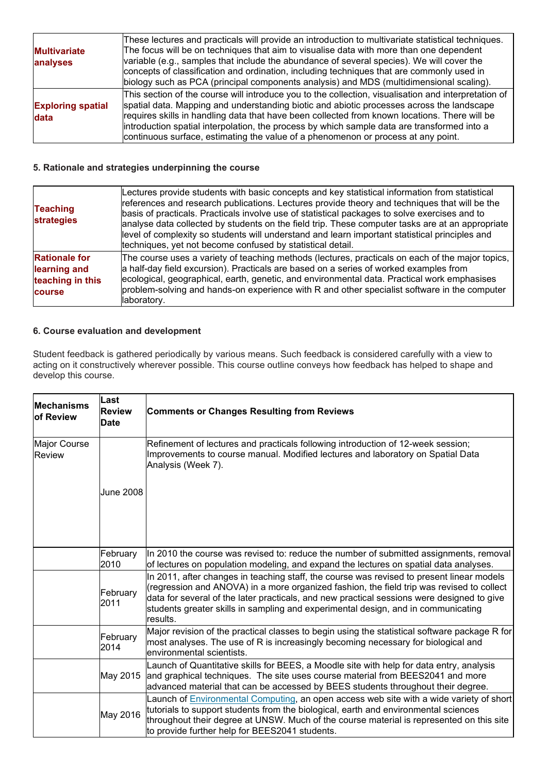| These lectures and practicals will provide an introduction to multivariate statistical techniques.<br>The focus will be on techniques that aim to visualise data with more than one dependent<br>variable (e.g., samples that include the abundance of several species). We will cover the |
|--------------------------------------------------------------------------------------------------------------------------------------------------------------------------------------------------------------------------------------------------------------------------------------------|
| concepts of classification and ordination, including techniques that are commonly used in                                                                                                                                                                                                  |
| biology such as PCA (principal components analysis) and MDS (multidimensional scaling).                                                                                                                                                                                                    |
| This section of the course will introduce you to the collection, visualisation and interpretation of<br>spatial data. Mapping and understanding biotic and abiotic processes across the landscape                                                                                          |
| requires skills in handling data that have been collected from known locations. There will be<br>introduction spatial interpolation, the process by which sample data are transformed into a<br>continuous surface, estimating the value of a phenomenon or process at any point.          |
|                                                                                                                                                                                                                                                                                            |

#### **5. Rationale and strategies underpinning the course**

| <b>Teaching</b><br><b>strategies</b>                               | Lectures provide students with basic concepts and key statistical information from statistical<br>references and research publications. Lectures provide theory and techniques that will be the<br>basis of practicals. Practicals involve use of statistical packages to solve exercises and to<br>analyse data collected by students on the field trip. These computer tasks are at an appropriate<br>level of complexity so students will understand and learn important statistical principles and<br>techniques, yet not become confused by statistical detail. |
|--------------------------------------------------------------------|----------------------------------------------------------------------------------------------------------------------------------------------------------------------------------------------------------------------------------------------------------------------------------------------------------------------------------------------------------------------------------------------------------------------------------------------------------------------------------------------------------------------------------------------------------------------|
| <b>Rationale for</b><br>learning and<br>teaching in this<br>course | The course uses a variety of teaching methods (lectures, practicals on each of the major topics,<br>a half-day field excursion). Practicals are based on a series of worked examples from<br>ecological, geographical, earth, genetic, and environmental data. Practical work emphasises<br>problem-solving and hands-on experience with R and other specialist software in the computer<br>laboratory.                                                                                                                                                              |

#### **6. Course evaluation and development**

Student feedback is gathered periodically by various means. Such feedback is considered carefully with a view to acting on it constructively wherever possible. This course outline conveys how feedback has helped to shape and develop this course.

| <b>Mechanisms</b><br><b>of Review</b> | Last<br><b>Review</b><br><b>Date</b> | <b>Comments or Changes Resulting from Reviews</b>                                                                                                                                                                                                                                                                                                                                     |
|---------------------------------------|--------------------------------------|---------------------------------------------------------------------------------------------------------------------------------------------------------------------------------------------------------------------------------------------------------------------------------------------------------------------------------------------------------------------------------------|
| Major Course<br>Review                |                                      | Refinement of lectures and practicals following introduction of 12-week session;<br>Improvements to course manual. Modified lectures and laboratory on Spatial Data<br>Analysis (Week 7).                                                                                                                                                                                             |
|                                       | <b>June 2008</b>                     |                                                                                                                                                                                                                                                                                                                                                                                       |
|                                       | February<br>2010                     | In 2010 the course was revised to: reduce the number of submitted assignments, removal<br>of lectures on population modeling, and expand the lectures on spatial data analyses.                                                                                                                                                                                                       |
|                                       | February<br>2011                     | In 2011, after changes in teaching staff, the course was revised to present linear models<br>(regression and ANOVA) in a more organized fashion, the field trip was revised to collect<br>data for several of the later practicals, and new practical sessions were designed to give<br>students greater skills in sampling and experimental design, and in communicating<br>results. |
|                                       | February<br>2014                     | Major revision of the practical classes to begin using the statistical software package R for<br>most analyses. The use of R is increasingly becoming necessary for biological and<br>environmental scientists.                                                                                                                                                                       |
|                                       | May 2015                             | Launch of Quantitative skills for BEES, a Moodle site with help for data entry, analysis<br>and graphical techniques. The site uses course material from BEES2041 and more<br>advanced material that can be accessed by BEES students throughout their degree.                                                                                                                        |
|                                       | May 2016                             | Launch of Environmental Computing, an open access web site with a wide variety of short<br>tutorials to support students from the biological, earth and environmental sciences<br>throughout their degree at UNSW. Much of the course material is represented on this site<br>to provide further help for BEES2041 students.                                                          |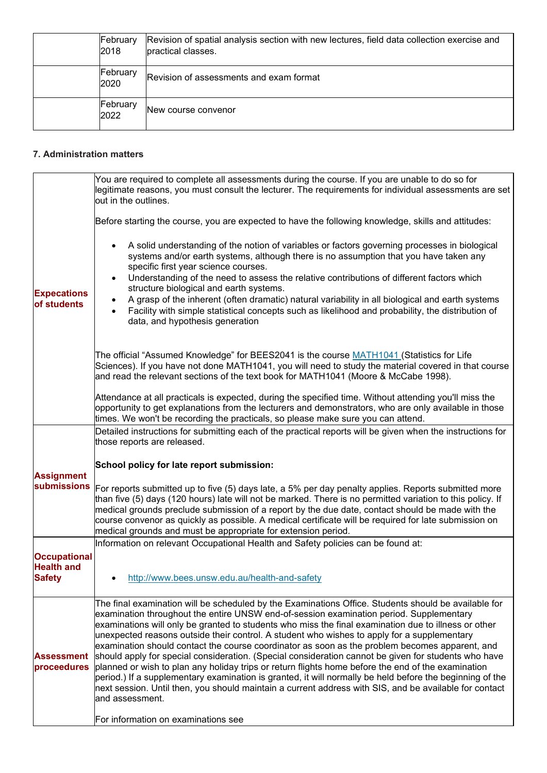| February<br>2018 | Revision of spatial analysis section with new lectures, field data collection exercise and<br>practical classes. |
|------------------|------------------------------------------------------------------------------------------------------------------|
| February<br>2020 | Revision of assessments and exam format                                                                          |
| February<br>2022 | New course convenor                                                                                              |

#### **7. Administration matters**

|                                                           | You are required to complete all assessments during the course. If you are unable to do so for<br>legitimate reasons, you must consult the lecturer. The requirements for individual assessments are set<br>out in the outlines.                                                                                                                                                                                                                                                                 |
|-----------------------------------------------------------|--------------------------------------------------------------------------------------------------------------------------------------------------------------------------------------------------------------------------------------------------------------------------------------------------------------------------------------------------------------------------------------------------------------------------------------------------------------------------------------------------|
|                                                           | Before starting the course, you are expected to have the following knowledge, skills and attitudes:                                                                                                                                                                                                                                                                                                                                                                                              |
|                                                           | A solid understanding of the notion of variables or factors governing processes in biological<br>systems and/or earth systems, although there is no assumption that you have taken any<br>specific first year science courses.<br>Understanding of the need to assess the relative contributions of different factors which<br>$\bullet$                                                                                                                                                         |
| <b>Expecations</b>                                        | structure biological and earth systems.                                                                                                                                                                                                                                                                                                                                                                                                                                                          |
| of students                                               | A grasp of the inherent (often dramatic) natural variability in all biological and earth systems<br>Facility with simple statistical concepts such as likelihood and probability, the distribution of<br>$\bullet$<br>data, and hypothesis generation                                                                                                                                                                                                                                            |
|                                                           | The official "Assumed Knowledge" for BEES2041 is the course MATH1041 (Statistics for Life<br>Sciences). If you have not done MATH1041, you will need to study the material covered in that course<br>and read the relevant sections of the text book for MATH1041 (Moore & McCabe 1998).                                                                                                                                                                                                         |
|                                                           | Attendance at all practicals is expected, during the specified time. Without attending you'll miss the<br>opportunity to get explanations from the lecturers and demonstrators, who are only available in those<br>times. We won't be recording the practicals, so please make sure you can attend.                                                                                                                                                                                              |
|                                                           | Detailed instructions for submitting each of the practical reports will be given when the instructions for                                                                                                                                                                                                                                                                                                                                                                                       |
|                                                           | those reports are released.                                                                                                                                                                                                                                                                                                                                                                                                                                                                      |
| <b>Assignment</b>                                         | School policy for late report submission:                                                                                                                                                                                                                                                                                                                                                                                                                                                        |
| <b>submissions</b>                                        | For reports submitted up to five (5) days late, a 5% per day penalty applies. Reports submitted more<br>than five (5) days (120 hours) late will not be marked. There is no permitted variation to this policy. If<br>medical grounds preclude submission of a report by the due date, contact should be made with the<br>course convenor as quickly as possible. A medical certificate will be required for late submission on<br>medical grounds and must be appropriate for extension period. |
|                                                           | Information on relevant Occupational Health and Safety policies can be found at:                                                                                                                                                                                                                                                                                                                                                                                                                 |
| <b>Occupational</b><br><b>Health and</b><br><b>Safety</b> | http://www.bees.unsw.edu.au/health-and-safety                                                                                                                                                                                                                                                                                                                                                                                                                                                    |
|                                                           |                                                                                                                                                                                                                                                                                                                                                                                                                                                                                                  |
|                                                           | The final examination will be scheduled by the Examinations Office. Students should be available for<br>examination throughout the entire UNSW end-of-session examination period. Supplementary                                                                                                                                                                                                                                                                                                  |
| <b>Assessment</b><br>proceedures                          | examinations will only be granted to students who miss the final examination due to illness or other<br>unexpected reasons outside their control. A student who wishes to apply for a supplementary                                                                                                                                                                                                                                                                                              |
|                                                           | examination should contact the course coordinator as soon as the problem becomes apparent, and                                                                                                                                                                                                                                                                                                                                                                                                   |
|                                                           | should apply for special consideration. (Special consideration cannot be given for students who have                                                                                                                                                                                                                                                                                                                                                                                             |
|                                                           | planned or wish to plan any holiday trips or return flights home before the end of the examination<br>period.) If a supplementary examination is granted, it will normally be held before the beginning of the<br>next session. Until then, you should maintain a current address with SIS, and be available for contact<br>and assessment.                                                                                                                                                      |
|                                                           | For information on examinations see                                                                                                                                                                                                                                                                                                                                                                                                                                                              |
|                                                           |                                                                                                                                                                                                                                                                                                                                                                                                                                                                                                  |